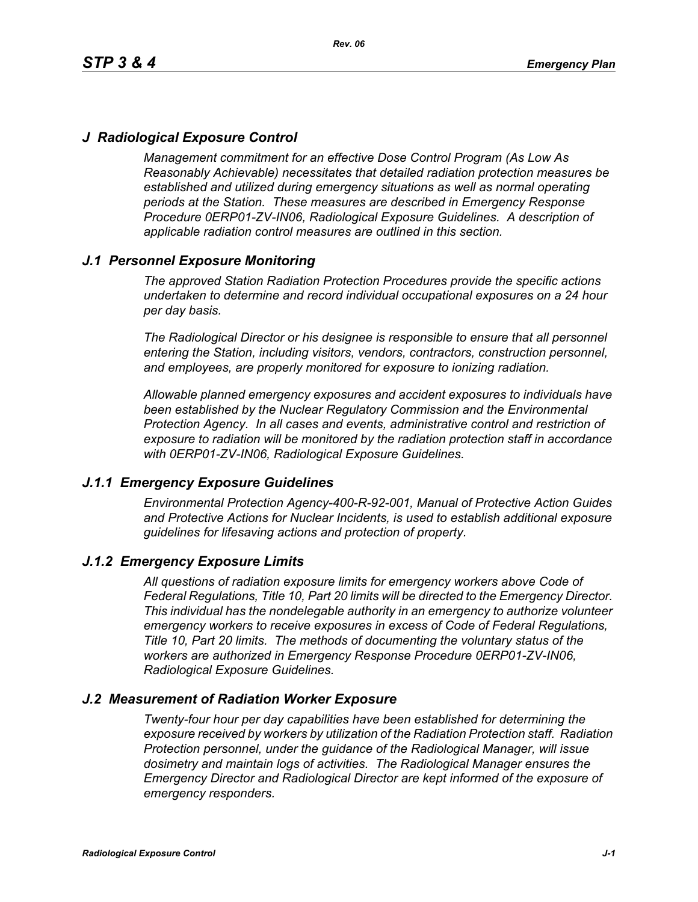# *J Radiological Exposure Control*

*Management commitment for an effective Dose Control Program (As Low As Reasonably Achievable) necessitates that detailed radiation protection measures be established and utilized during emergency situations as well as normal operating periods at the Station. These measures are described in Emergency Response Procedure 0ERP01-ZV-IN06, Radiological Exposure Guidelines. A description of applicable radiation control measures are outlined in this section.*

# *J.1 Personnel Exposure Monitoring*

*The approved Station Radiation Protection Procedures provide the specific actions undertaken to determine and record individual occupational exposures on a 24 hour per day basis.*

*The Radiological Director or his designee is responsible to ensure that all personnel entering the Station, including visitors, vendors, contractors, construction personnel, and employees, are properly monitored for exposure to ionizing radiation.*

*Allowable planned emergency exposures and accident exposures to individuals have been established by the Nuclear Regulatory Commission and the Environmental Protection Agency. In all cases and events, administrative control and restriction of exposure to radiation will be monitored by the radiation protection staff in accordance with 0ERP01-ZV-IN06, Radiological Exposure Guidelines.*

### *J.1.1 Emergency Exposure Guidelines*

*Environmental Protection Agency-400-R-92-001, Manual of Protective Action Guides and Protective Actions for Nuclear Incidents, is used to establish additional exposure guidelines for lifesaving actions and protection of property.*

### *J.1.2 Emergency Exposure Limits*

*All questions of radiation exposure limits for emergency workers above Code of Federal Regulations, Title 10, Part 20 limits will be directed to the Emergency Director. This individual has the nondelegable authority in an emergency to authorize volunteer emergency workers to receive exposures in excess of Code of Federal Regulations, Title 10, Part 20 limits. The methods of documenting the voluntary status of the workers are authorized in Emergency Response Procedure 0ERP01-ZV-IN06, Radiological Exposure Guidelines.*

### *J.2 Measurement of Radiation Worker Exposure*

*Twenty-four hour per day capabilities have been established for determining the exposure received by workers by utilization of the Radiation Protection staff. Radiation Protection personnel, under the guidance of the Radiological Manager, will issue dosimetry and maintain logs of activities. The Radiological Manager ensures the Emergency Director and Radiological Director are kept informed of the exposure of emergency responders.*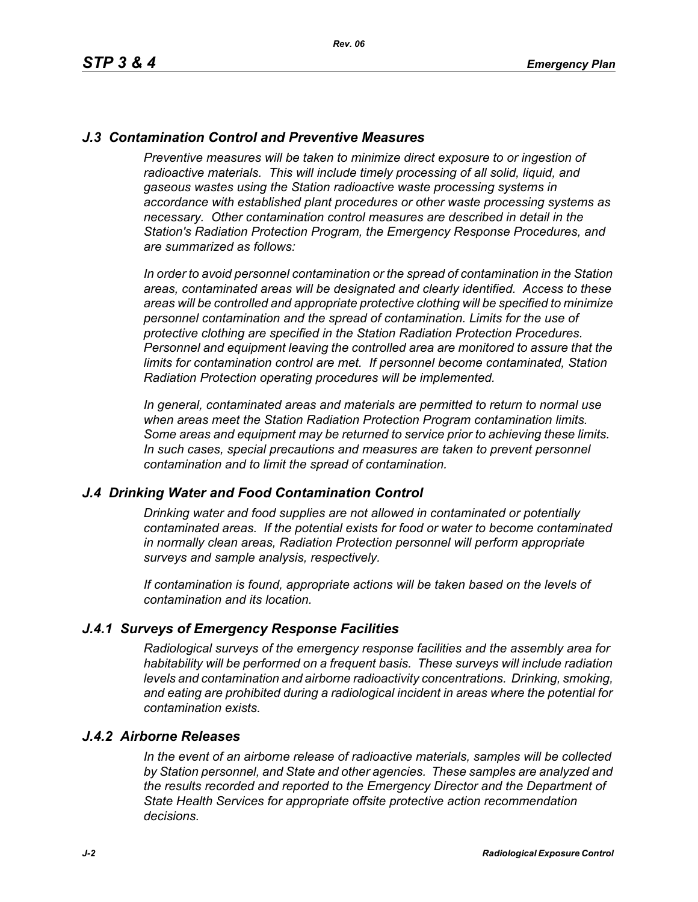# *J.3 Contamination Control and Preventive Measures*

*Preventive measures will be taken to minimize direct exposure to or ingestion of* radioactive materials. This will include timely processing of all solid, liquid, and *gaseous wastes using the Station radioactive waste processing systems in accordance with established plant procedures or other waste processing systems as necessary. Other contamination control measures are described in detail in the Station's Radiation Protection Program, the Emergency Response Procedures, and are summarized as follows:*

*In order to avoid personnel contamination or the spread of contamination in the Station areas, contaminated areas will be designated and clearly identified. Access to these areas will be controlled and appropriate protective clothing will be specified to minimize personnel contamination and the spread of contamination. Limits for the use of protective clothing are specified in the Station Radiation Protection Procedures. Personnel and equipment leaving the controlled area are monitored to assure that the limits for contamination control are met. If personnel become contaminated, Station Radiation Protection operating procedures will be implemented.* 

*In general, contaminated areas and materials are permitted to return to normal use when areas meet the Station Radiation Protection Program contamination limits. Some areas and equipment may be returned to service prior to achieving these limits. In such cases, special precautions and measures are taken to prevent personnel contamination and to limit the spread of contamination.*

### *J.4 Drinking Water and Food Contamination Control*

*Drinking water and food supplies are not allowed in contaminated or potentially contaminated areas. If the potential exists for food or water to become contaminated in normally clean areas, Radiation Protection personnel will perform appropriate surveys and sample analysis, respectively.*

*If contamination is found, appropriate actions will be taken based on the levels of contamination and its location.*

### *J.4.1 Surveys of Emergency Response Facilities*

*Radiological surveys of the emergency response facilities and the assembly area for habitability will be performed on a frequent basis. These surveys will include radiation levels and contamination and airborne radioactivity concentrations. Drinking, smoking, and eating are prohibited during a radiological incident in areas where the potential for contamination exists.*

#### *J.4.2 Airborne Releases*

*In the event of an airborne release of radioactive materials, samples will be collected by Station personnel, and State and other agencies. These samples are analyzed and the results recorded and reported to the Emergency Director and the Department of State Health Services for appropriate offsite protective action recommendation decisions.*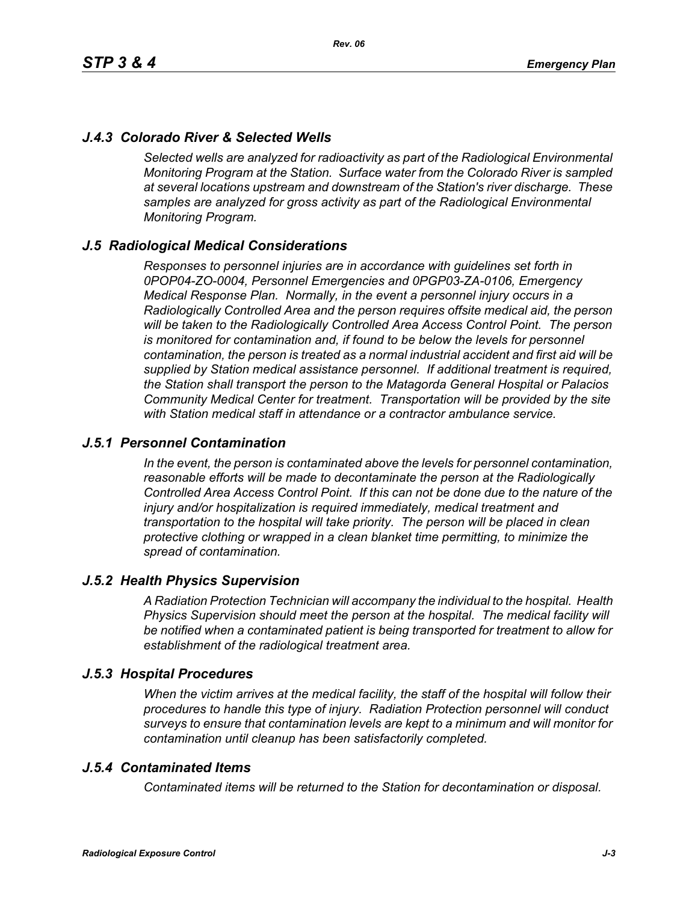# *J.4.3 Colorado River & Selected Wells*

*Selected wells are analyzed for radioactivity as part of the Radiological Environmental Monitoring Program at the Station. Surface water from the Colorado River is sampled at several locations upstream and downstream of the Station's river discharge. These samples are analyzed for gross activity as part of the Radiological Environmental Monitoring Program.*

### *J.5 Radiological Medical Considerations*

*Responses to personnel injuries are in accordance with guidelines set forth in 0POP04-ZO-0004, Personnel Emergencies and 0PGP03-ZA-0106, Emergency Medical Response Plan. Normally, in the event a personnel injury occurs in a Radiologically Controlled Area and the person requires offsite medical aid, the person will be taken to the Radiologically Controlled Area Access Control Point. The person is monitored for contamination and, if found to be below the levels for personnel contamination, the person is treated as a normal industrial accident and first aid will be supplied by Station medical assistance personnel. If additional treatment is required, the Station shall transport the person to the Matagorda General Hospital or Palacios Community Medical Center for treatment. Transportation will be provided by the site with Station medical staff in attendance or a contractor ambulance service.*

### *J.5.1 Personnel Contamination*

*In the event, the person is contaminated above the levels for personnel contamination, reasonable efforts will be made to decontaminate the person at the Radiologically Controlled Area Access Control Point. If this can not be done due to the nature of the injury and/or hospitalization is required immediately, medical treatment and transportation to the hospital will take priority. The person will be placed in clean protective clothing or wrapped in a clean blanket time permitting, to minimize the spread of contamination.*

### *J.5.2 Health Physics Supervision*

*A Radiation Protection Technician will accompany the individual to the hospital. Health Physics Supervision should meet the person at the hospital. The medical facility will be notified when a contaminated patient is being transported for treatment to allow for establishment of the radiological treatment area.*

### *J.5.3 Hospital Procedures*

*When the victim arrives at the medical facility, the staff of the hospital will follow their procedures to handle this type of injury. Radiation Protection personnel will conduct surveys to ensure that contamination levels are kept to a minimum and will monitor for contamination until cleanup has been satisfactorily completed.*

### *J.5.4 Contaminated Items*

*Contaminated items will be returned to the Station for decontamination or disposal.*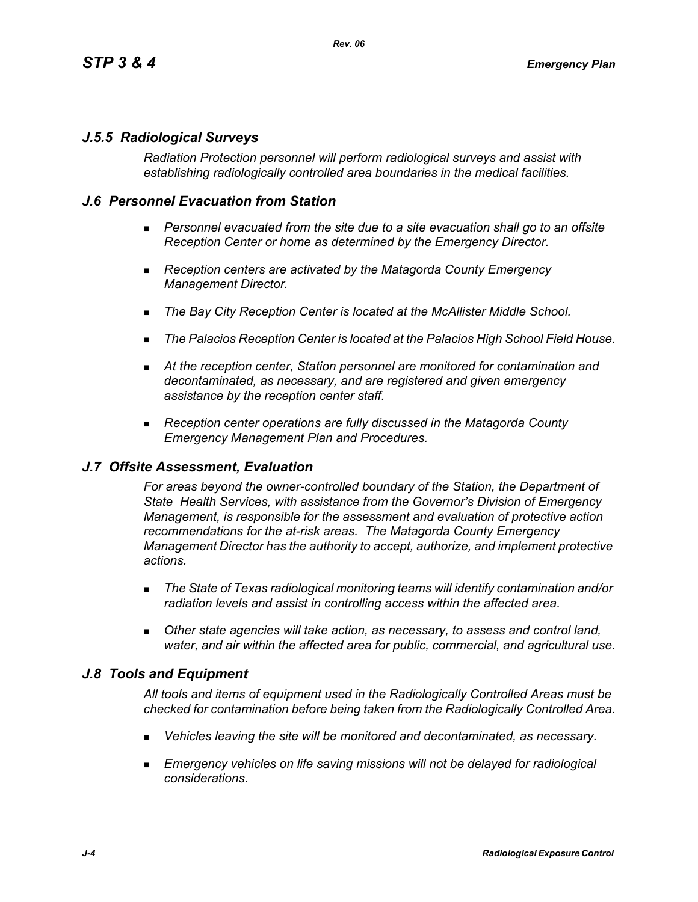# *J.5.5 Radiological Surveys*

*Radiation Protection personnel will perform radiological surveys and assist with establishing radiologically controlled area boundaries in the medical facilities.*

## *J.6 Personnel Evacuation from Station*

- **Personnel evacuated from the site due to a site evacuation shall go to an offsite** *Reception Center or home as determined by the Emergency Director.*
- *Reception centers are activated by the Matagorda County Emergency Management Director.*
- *The Bay City Reception Center is located at the McAllister Middle School.*
- *The Palacios Reception Center is located at the Palacios High School Field House.*
- *At the reception center, Station personnel are monitored for contamination and decontaminated, as necessary, and are registered and given emergency assistance by the reception center staff.*
- *Reception center operations are fully discussed in the Matagorda County Emergency Management Plan and Procedures.*

### *J.7 Offsite Assessment, Evaluation*

*For areas beyond the owner-controlled boundary of the Station, the Department of State Health Services, with assistance from the Governor's Division of Emergency Management, is responsible for the assessment and evaluation of protective action recommendations for the at-risk areas. The Matagorda County Emergency Management Director has the authority to accept, authorize, and implement protective actions.*

- *The State of Texas radiological monitoring teams will identify contamination and/or radiation levels and assist in controlling access within the affected area.*
- *Other state agencies will take action, as necessary, to assess and control land, water, and air within the affected area for public, commercial, and agricultural use.*

# *J.8 Tools and Equipment*

*All tools and items of equipment used in the Radiologically Controlled Areas must be checked for contamination before being taken from the Radiologically Controlled Area.*

- *Vehicles leaving the site will be monitored and decontaminated, as necessary.*
- **Emergency vehicles on life saving missions will not be delayed for radiological** *considerations.*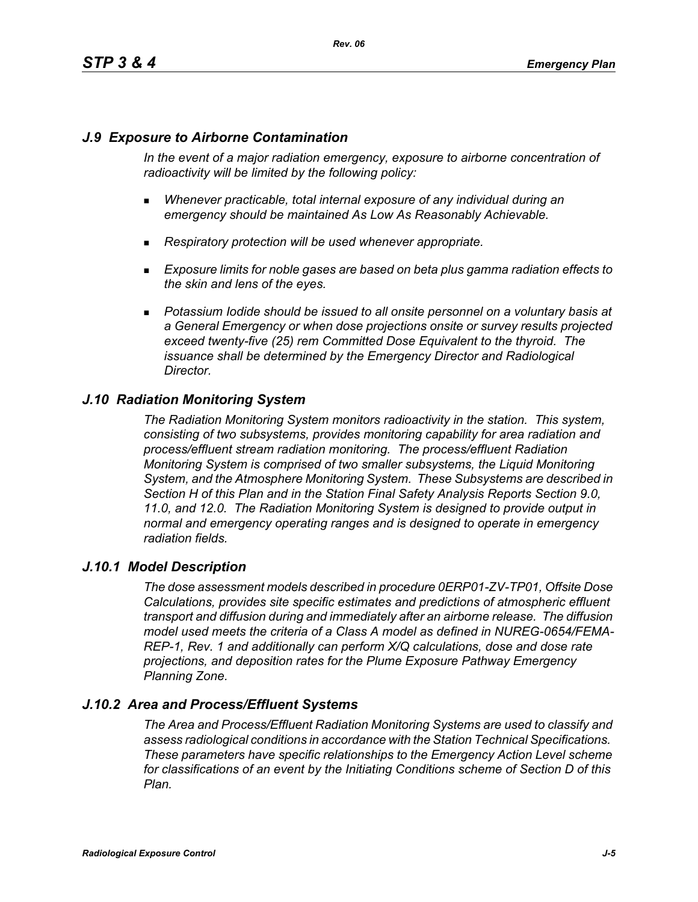# *J.9 Exposure to Airborne Contamination*

*In the event of a major radiation emergency, exposure to airborne concentration of radioactivity will be limited by the following policy:*

- *Whenever practicable, total internal exposure of any individual during an emergency should be maintained As Low As Reasonably Achievable.*
- *Respiratory protection will be used whenever appropriate.*
- *Exposure limits for noble gases are based on beta plus gamma radiation effects to the skin and lens of the eyes.*
- **Potassium Iodide should be issued to all onsite personnel on a voluntary basis at** *a General Emergency or when dose projections onsite or survey results projected exceed twenty-five (25) rem Committed Dose Equivalent to the thyroid. The issuance shall be determined by the Emergency Director and Radiological Director.*

# *J.10 Radiation Monitoring System*

*The Radiation Monitoring System monitors radioactivity in the station. This system, consisting of two subsystems, provides monitoring capability for area radiation and process/effluent stream radiation monitoring. The process/effluent Radiation Monitoring System is comprised of two smaller subsystems, the Liquid Monitoring System, and the Atmosphere Monitoring System. These Subsystems are described in Section H of this Plan and in the Station Final Safety Analysis Reports Section 9.0, 11.0, and 12.0. The Radiation Monitoring System is designed to provide output in normal and emergency operating ranges and is designed to operate in emergency radiation fields.*

### *J.10.1 Model Description*

*The dose assessment models described in procedure 0ERP01-ZV-TP01, Offsite Dose Calculations, provides site specific estimates and predictions of atmospheric effluent transport and diffusion during and immediately after an airborne release. The diffusion model used meets the criteria of a Class A model as defined in NUREG-0654/FEMA-REP-1, Rev. 1 and additionally can perform X/Q calculations, dose and dose rate projections, and deposition rates for the Plume Exposure Pathway Emergency Planning Zone.*

# *J.10.2 Area and Process/Effluent Systems*

*The Area and Process/Effluent Radiation Monitoring Systems are used to classify and assess radiological conditions in accordance with the Station Technical Specifications. These parameters have specific relationships to the Emergency Action Level scheme for classifications of an event by the Initiating Conditions scheme of Section D of this Plan.*